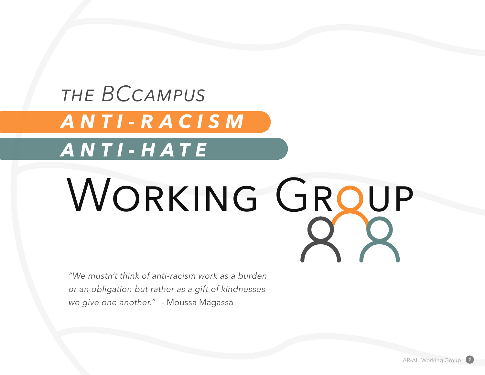## *the BCcampus ANTI-RACISM ANTI-HATE*

# WORKING GROUP

*"We mustn't think of anti-racism work as a burden or an obligation but rather as a gift of kindnesses we give one another."* - Moussa Magassa

AR-AH Working Group *1*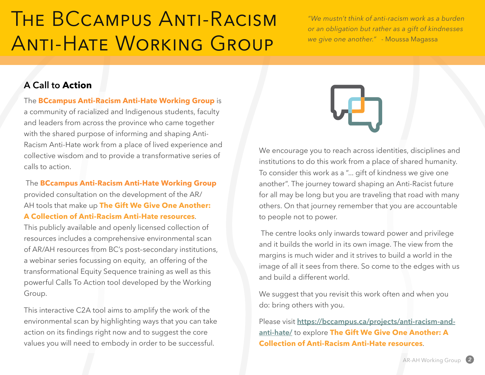## The BCcampus Anti-Racism Anti-Hate Working Group

*"We mustn't think of anti-racism work as a burden or an obligation but rather as a gift of kindnesses we give one another."* - Moussa Magassa

#### **A Call to Action**

The **BCcampus Anti-Racism Anti-Hate Working Group** is

a community of racialized and Indigenous students, faculty and leaders from across the province who came together with the shared purpose of informing and shaping Anti-Racism Anti-Hate work from a place of lived experience and collective wisdom and to provide a transformative series of calls to action.

 The **BCcampus Anti-Racism Anti-Hate Working Group** provided consultation on the development of the AR/ AH tools that make up **The Gift We Give One Another: A Collection of Anti-Racism Anti-Hate resources**.

This publicly available and openly licensed collection of resources includes a comprehensive environmental scan of AR/AH resources from BC's post–secondary institutions, a webinar series focussing on equity, an offering of the transformational Equity Sequence training as well as this powerful Calls To Action tool developed by the Working Group.

This interactive C2A tool aims to amplify the work of the environmental scan by highlighting ways that you can take action on its findings right now and to suggest the core values you will need to embody in order to be successful.



We encourage you to reach across identities, disciplines and institutions to do this work from a place of shared humanity. To consider this work as a "... gift of kindness we give one another". The journey toward shaping an Anti-Racist future for all may be long but you are traveling that road with many others. On that journey remember that you are accountable to people not to power.

 The centre looks only inwards toward power and privilege and it builds the world in its own image. The view from the margins is much wider and it strives to build a world in the image of all it sees from there. So come to the edges with us and build a different world.

We suggest that you revisit this work often and when you do: bring others with you.

Please visit **[https://bccampus.ca/projects/anti-racism-and](https://bccampus.ca/projects/anti-racism-and-anti-hate/)[anti-hate/](https://bccampus.ca/projects/anti-racism-and-anti-hate/)** to explore **The Gift We Give One Another: A Collection of Anti-Racism Anti-Hate resources**.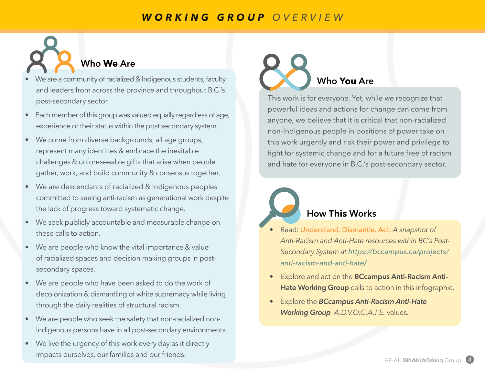#### *WORKING GROUP OVERVIEW*

### **Who We Are**

- We are a community of racialized & Indigenous students, faculty and leaders from across the province and throughout B.C.'s post-secondary sector.
- Each member of this group was valued equally regardless of age, experience or their status within the post secondary system.
- We come from diverse backgrounds, all age groups, represent many identities & embrace the inevitable challenges & unforeseeable gifts that arise when people gather, work, and build community & consensus together.
- We are descendants of racialized & Indigenous peoples committed to seeing anti-racism as generational work despite the lack of progress toward systematic change.
- We seek publicly accountable and measurable change on these calls to action.
- We are people who know the vital importance & value of racialized spaces and decision making groups in postsecondary spaces.
- We are people who have been asked to do the work of decolonization & dismantling of white supremacy while living through the daily realities of structural racism.
- We are people who seek the safety that non-racialized non-Indigenous persons have in all post-secondary environments.
- We live the urgency of this work every day as it directly impacts ourselves, our families and our friends.

## **Who You Are**

This work is for everyone. Yet, while we recognize that powerful ideas and actions for change can come from anyone, we believe that it is critical that non-racialized non-Indigenous people in positions of power take on this work urgently and risk their power and privilege to fight for systemic change and for a future free of racism and hate for everyone in B.C.'s post-secondary sector.

### **How This Works**

- Read: Understand. Dismantle. Act. *A snapshot of Anti-Racism and Anti-Hate resources within BC's Post-Secondary System at [https://bccampus.ca/projects/](https://bccampus.ca/projects/anti-racism-and-anti-hate/) [anti-racism-and-anti-hate](https://bccampus.ca/projects/anti-racism-and-anti-hate/)***/**
- Explore and act on the **BCcampus Anti-Racism Anti-Hate Working Group** calls to action in this infographic.
- Explore the *BCcampus Anti-Racism Anti-Hate Working Group A.D.V.O.C.A.T.E.* values.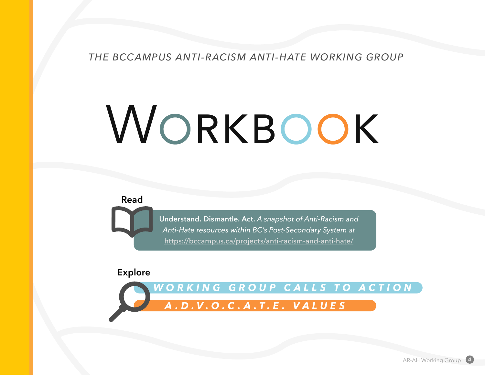*THE BCCAMPUS ANTI-RACISM ANTI-HATE WORKING GROUP*

# WORKBOOK

**Read**

**Understand. Dismantle. Act.** *A snapshot of Anti-Racism and Anti-Hate resources within BC's Post-Secondary System at* <https://bccampus.ca/projects/anti-racism-and-anti-hate/>

#### **Explore**

*WORKING GROUP CALLS TO ACTION A.D.V.O.C.A.T.E. VALUES*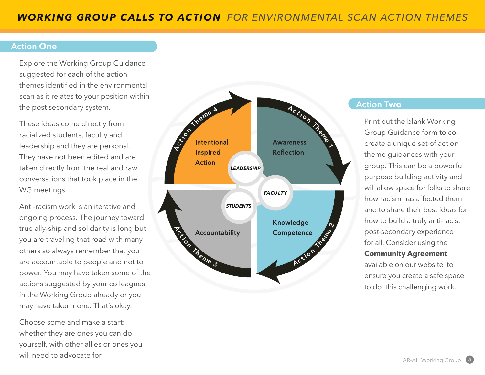#### **Action One**

Explore the Working Group Guidance suggested for each of the action themes identified in the environmental scan as it relates to your position within the post secondary system.

These ideas come directly from racialized students, faculty and leadership and they are personal. They have not been edited and are taken directly from the real and raw conversations that took place in the WG meetings.

Anti-racism work is an iterative and ongoing process. The journey toward true ally-ship and solidarity is long but you are traveling that road with many others so always remember that you are accountable to people and not to power. You may have taken some of the actions suggested by your colleagues in the Working Group already or you may have taken none. That's okay.

Choose some and make a start: whether they are ones you can do yourself, with other allies or ones you will need to advocate for.



#### **Action Two**

Print out the blank Working Group Guidance form to cocreate a unique set of action theme guidances with your group. This can be a powerful purpose building activity and will allow space for folks to share how racism has affected them and to share their best ideas for how to build a truly anti-racist post-secondary experience for all. Consider using the **Community Agreement** 

available on our website to ensure you create a safe space to do this challenging work.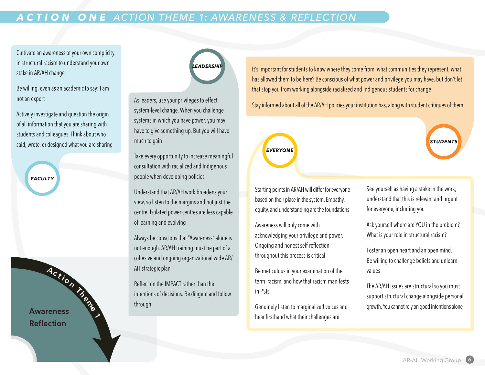#### *ACTION ONE ACTION THEME 1: AWARENESS & REFLECTION*

Cultivate an awareness of your own complicity in structural racism to understand your own stake in AR/AH change

Be willing, even as an academic to say: I am not an expert

Actively investigate and question the origin of all information that you are sharing with students and colleagues. Think about who said, wrote, or designed what you are sharing

**FACULTY** 

**http://bh**<br>Awareness **Reflection** 

**1**

# EADERSHI

As leaders, use your privileges to effect system-level change. When you challenge systems in which you have power, you may have to give something up. But you will have much to gain

Take every opportunity to increase meaningful consultation with racialized and Indigenous people when developing policies

Understand that AR/AH work broadens your view, so listen to the margins and not just the centre. Isolated power centres are less capable of learning and evolving

Always be conscious that "Awareness" alone is not enough. AR/AH training must be part of a cohesive and ongoing organizational wide AR/ AH strategic plan

Reflect on the IMPACT rather than the intentions of decisions. Be diligent and follow through

It's important for students to know where they come from, what communities they represent, what has allowed them to be here? Be conscious of what power and privilege you may have, but don't let that stop you from working alongside racialized and Indigenous students for change

Stay informed about all of the AR/AH policies your institution has, along with student critiques of them

## **EVERYONE**

Starting points in AR/AH will differ for everyone based on their place in the system. Empathy, equity, and understanding are the foundations

Awareness will only come with acknowledging your privilege and power. Ongoing and honest self-reflection throughout this process is critical

Be meticulous in your examination of the term 'racism' and how that racism manifests in PSIs

Genuinely listen to marginalized voices and hear firsthand what their challenges are

See yourself as having a stake in the work; understand that this is relevant and urgent for everyone, including you

**STUDENT** 

Ask yourself where are YOU in the problem? What is your role in structural racism?

Foster an open heart and an open mind. Be willing to challenge beliefs and unlearn values

The AR/AH issues are structural so you must support structural change alongside personal growth. You cannot rely on good intentions alone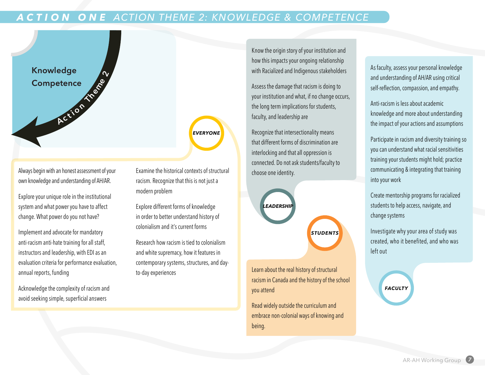#### *ACTION ONE ACTION THEME 2: KNOWLEDGE & COMPETENCE*



Always begin with an honest assessment of your own knowledge and understanding of AH/AR.

Explore your unique role in the institutional system and what power you have to affect change. What power do you not have?

Implement and advocate for mandatory anti-racism anti-hate training for all staff, instructors and leadership, with EDI as an evaluation criteria for performance evaluation, annual reports, funding

Acknowledge the complexity of racism and avoid seeking simple, superficial answers

Examine the historical contexts of structural racism. Recognize that this is not just a modern problem

**EVERYONE** 

Explore different forms of knowledge in order to better understand history of colonialism and it's current forms

Research how racism is tied to colonialism and white supremacy, how it features in contemporary systems, structures, and dayto-day experiences

Know the origin story of your institution and how this impacts your ongoing relationship with Racialized and Indigenous stakeholders

Assess the damage that racism is doing to your institution and what, if no change occurs, the long term implications for students, faculty, and leadership are

Recognize that intersectionality means that different forms of discrimination are interlocking and that all oppression is connected. Do not ask students/faculty to choose one identity.



Learn about the real history of structural racism in Canada and the history of the school you attend

Read widely outside the curriculum and embrace non-colonial ways of knowing and being.

As faculty, assess your personal knowledge and understanding of AH/AR using critical self-reflection, compassion, and empathy.

Anti-racism is less about academic knowledge and more about understanding the impact of your actions and assumptions

Participate in racism and diversity training so you can understand what racial sensitivities training your students might hold; practice communicating & integrating that training into your work

Create mentorship programs for racialized students to help access, navigate, and change systems

Investigate why your area of study was created, who it benefited, and who was left out

**FACULTY**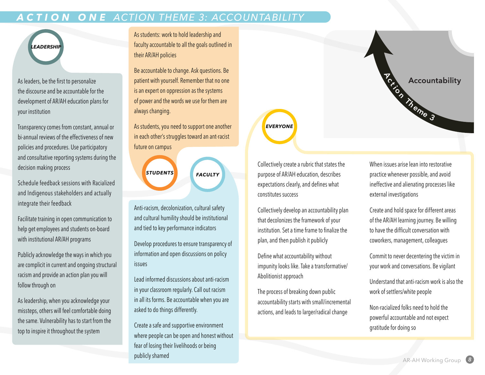#### *ACTION ONE ACTION THEME 3: ACCOUNTABILITY*



As leaders, be the first to personalize the discourse and be accountable for the development of AR/AH education plans for your institution

Transparency comes from constant, annual or bi-annual reviews of the effectiveness of new policies and procedures. Use participatory and consultative reporting systems during the decision making process

Schedule feedback sessions with Racialized and Indigenous stakeholders and actually integrate their feedback

Facilitate training in open communication to help get employees and students on-board with institutional AR/AH programs

Publicly acknowledge the ways in which you are complicit in current and ongoing structural racism and provide an action plan you will follow through on

As leadership, when you acknowledge your missteps, others will feel comfortable doing the same. Vulnerability has to start from the top to inspire it throughout the system

As students: work to hold leadership and faculty accountable to all the goals outlined in their AR/AH policies

Be accountable to change. Ask questions. Be patient with yourself. Remember that no one is an expert on oppression as the systems of power and the words we use for them are always changing.

As students, you need to support one another in each other's struggles toward an ant-racist future on campus

> **STUDENTS FACULTY**

Anti-racism, decolonization, cultural safety and cultural humility should be institutional and tied to key performance indicators

Develop procedures to ensure transparency of information and open discussions on policy issues

Lead informed discussions about anti-racism in your classroom regularly. Call out racism in all its forms. Be accountable when you are asked to do things differently.

Create a safe and supportive environment where people can be open and honest without fear of losing their livelihoods or being publicly shamed



**EVERYONE** 

Collectively create a rubric that states the purpose of AR/AH education, describes expectations clearly, and defines what constitutes success

Collectively develop an accountability plan that decolonizes the framework of your institution. Set a time frame to finalize the plan, and then publish it publicly

Define what accountability without impunity looks like. Take a transformative/ Abolitionist approach

The process of breaking down public accountability starts with small/incremental actions, and leads to larger/radical change

When issues arise lean into restorative practice whenever possible, and avoid ineffective and alienating processes like external investigations

Create and hold space for different areas of the AR/AH learning journey. Be willing to have the difficult conversation with coworkers, management, colleagues

Commit to never decentering the victim in your work and conversations. Be vigilant

Understand that anti-racism work is also the work of settlers/white people

Non-racialized folks need to hold the powerful accountable and not expect gratitude for doing so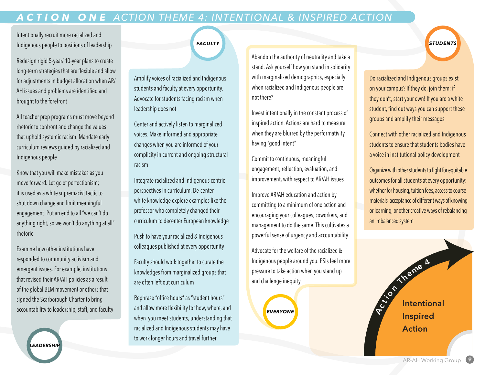#### *ACTION ONE ACTION THEME 4: INTENTIONAL & INSPIRED ACTION*

Intentionally recruit more racialized and Indigenous people to positions of leadership

Redesign rigid 5-year/ 10-year plans to create long-term strategies that are flexible and allow for adjustments in budget allocation when AR/ AH issues and problems are identified and brought to the forefront

All teacher prep programs must move beyond rhetoric to confront and change the values that uphold systemic racism. Mandate early curriculum reviews guided by racialized and Indigenous people

Know that you will make mistakes as you move forward. Let go of perfectionism; it is used as a white supremacist tactic to shut down change and limit meaningful engagement. Put an end to all "we can't do anything right, so we won't do anything at all" rhetoric

Examine how other institutions have responded to community activism and emergent issues. For example, institutions that revised their AR/AH policies as a result of the global BLM movement or others that signed the Scarborough Charter to bring accountability to leadership, staff, and faculty

EADERSHIF

**FACULTY** 

Amplify voices of racialized and Indigenous students and faculty at every opportunity. Advocate for students facing racism when leadership does not

Center and actively listen to marginalized voices. Make informed and appropriate changes when you are informed of your complicity in current and ongoing structural racism

Integrate racialized and Indigenous centric perspectives in curriculum. De-center white knowledge explore examples like the professor who completely changed their curriculum to decenter European knowledge

Push to have your racialized & Indigenous colleagues published at every opportunity

Faculty should work together to curate the knowledges from marginalized groups that are often left out curriculum

Rephrase "office hours" as "student hours" and allow more flexibility for how, where, and when you meet students, understanding that racialized and Indigenous students may have to work longer hours and travel further

Abandon the authority of neutrality and take a stand. Ask yourself how you stand in solidarity with marginalized demographics, especially when racialized and Indigenous people are not there?

Invest intentionally in the constant process of inspired action. Actions are hard to measure when they are blurred by the performativity having "good intent"

Commit to continuous, meaningful engagement, reflection, evaluation, and improvement, with respect to AR/AH issues

Improve AR/AH education and action by committing to a minimum of one action and encouraging your colleagues, coworkers, and management to do the same. This cultivates a powerful sense of urgency and accountability

Advocate for the welfare of the racialized & Indigenous people around you. PSIs feel more pressure to take action when you stand up and challenge inequity

**EVERYONE** 

Do racialized and Indigenous groups exist on your campus? If they do, join them: if they don't, start your own! If you are a white student, find out ways you can support these groups and amplify their messages

**STUDENTS** 

Connect with other racialized and Indigenous students to ensure that students bodies have a voice in institutional policy development

Organize with other students to fight for equitable outcomes for all students at every opportunity: whether for housing, tuition fees, access to course materials, acceptance of different ways of knowing or learning, or other creative ways of rebalancing an imbalanced system



**AR-AH Working Group**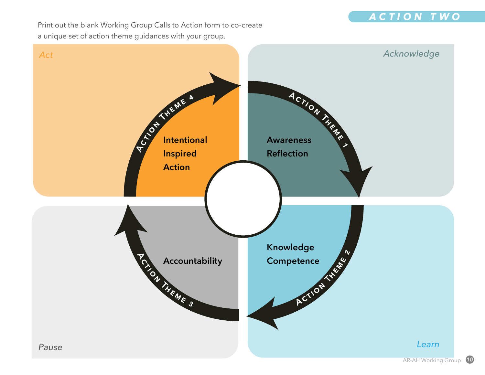

Print out the blank Working Group Calls to Action form to co-create a unique set of action theme guidances with your group.

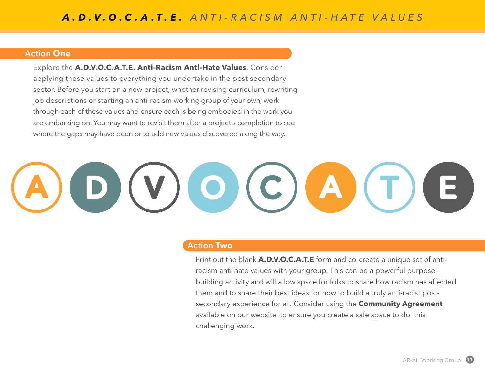#### **Action One**

Explore the **A.D.V.O.C.A.T.E. Anti-Racism Anti-Hate Values**. Consider applying these values to everything you undertake in the post secondary sector. Before you start on a new project, whether revising curriculum, rewriting job descriptions or starting an anti-racism working group of your own; work through each of these values and ensure each is being embodied in the work you are embarking on. You may want to revisit them after a project's completion to see where the gaps may have been or to add new values discovered along the way.

# V)O(C)A)

#### **Action Two**

Print out the blank **A.D.V.O.C.A.T.E** form and co-create a unique set of antiracism anti-hate values with your group. This can be a powerful purpose building activity and will allow space for folks to share how racism has affected them and to share their best ideas for how to build a truly anti-racist postsecondary experience for all. Consider using the **Community Agreement** available on our website to ensure you create a safe space to do this challenging work.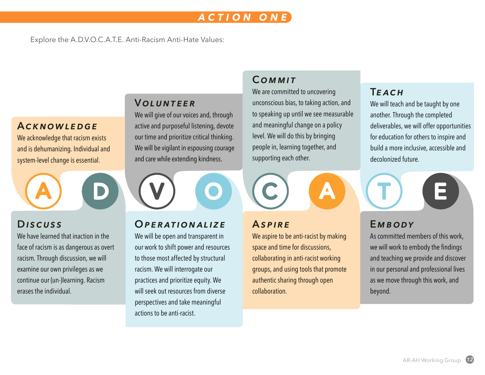#### *ACTION ONE*

Explore the A.D.V.O.C.A.T.E. Anti-Racism Anti-Hate Values:

#### **A***cknowledge*

We acknowledge that racism exists and is dehumanizing. Individual and system-level change is essential.

#### **D***iscuss*

We have learned that inaction in the face of racism is as dangerous as overt racism. Through discussion, we will examine our own privileges as we continue our (un-)learning. Racism erases the individual.

#### **V***olunteer*

We will give of our voices and, through active and purposeful listening, devote our time and prioritize critical thinking. We will be vigilant in espousing courage and care while extending kindness.

#### **O***perationalize*

We will be open and transparent in our work to shift power and resources to those most affected by structural racism. We will interrogate our practices and prioritize equity. We will seek out resources from diverse perspectives and take meaningful actions to be anti-racist.

#### **C***ommit*

We are committed to uncovering unconscious bias, to taking action, and to speaking up until we see measurable and meaningful change on a policy level. We will do this by bringing people in, learning together, and supporting each other.

#### **A** *spire*

We aspire to be anti-racist by making space and time for discussions, collaborating in anti-racist working groups, and using tools that promote authentic sharing through open collaboration.

#### **T***each*

We will teach and be taught by one another. Through the completed deliverables, we will offer opportunities for education for others to inspire and build a more inclusive, accessible and decolonized future.

#### **E***mbody*

As committed members of this work, we will work to embody the findings and teaching we provide and discover in our personal and professional lives as we move through this work, and beyond.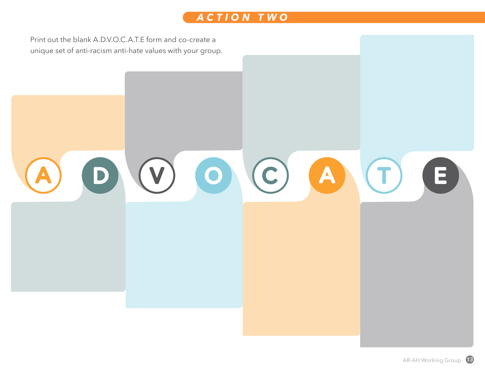

Print out the blank A.D.V.O.C.A.T.E form and co-create a unique set of anti-racism anti-hate values with your group.

### O O O A O  $\blacksquare$  $\Box$ А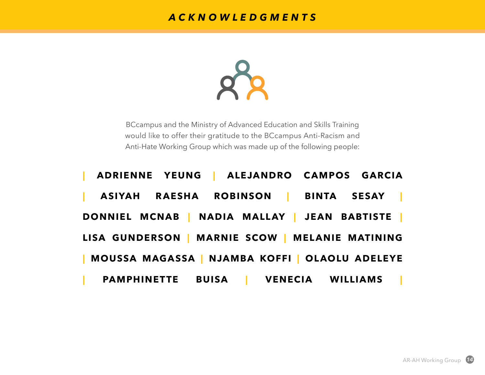#### *ACKNOWLEDGMENTS*



BCcampus and the Ministry of Advanced Education and Skills Training would like to offer their gratitude to the BCcampus Anti-Racism and Anti-Hate Working Group which was made up of the following people: